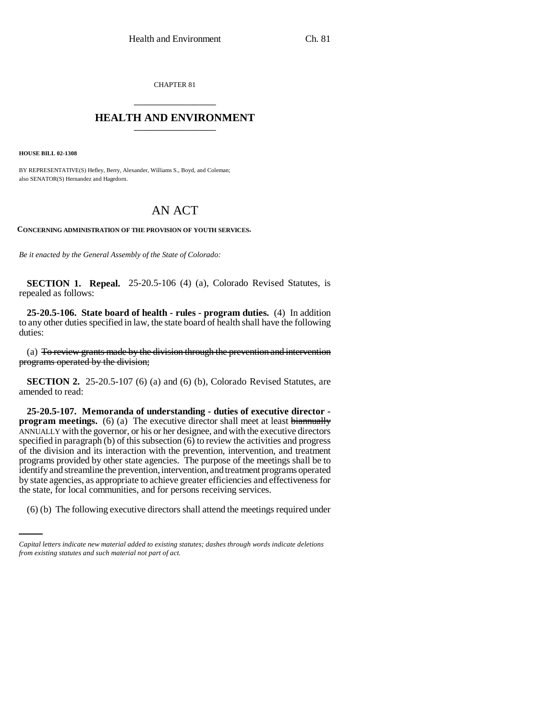CHAPTER 81 \_\_\_\_\_\_\_\_\_\_\_\_\_\_\_

## **HEALTH AND ENVIRONMENT** \_\_\_\_\_\_\_\_\_\_\_\_\_\_\_

**HOUSE BILL 02-1308**

BY REPRESENTATIVE(S) Hefley, Berry, Alexander, Williams S., Boyd, and Coleman; also SENATOR(S) Hernandez and Hagedorn.

## AN ACT

**CONCERNING ADMINISTRATION OF THE PROVISION OF YOUTH SERVICES.**

*Be it enacted by the General Assembly of the State of Colorado:*

**SECTION 1. Repeal.** 25-20.5-106 (4) (a), Colorado Revised Statutes, is repealed as follows:

**25-20.5-106. State board of health - rules - program duties.** (4) In addition to any other duties specified in law, the state board of health shall have the following duties:

(a) To review grants made by the division through the prevention and intervention programs operated by the division;

**SECTION 2.** 25-20.5-107 (6) (a) and (6) (b), Colorado Revised Statutes, are amended to read:

the state, for local communities, and for persons receiving services. **25-20.5-107. Memoranda of understanding - duties of executive director program meetings.** (6) (a) The executive director shall meet at least biannually ANNUALLY with the governor, or his or her designee, and with the executive directors specified in paragraph (b) of this subsection  $(6)$  to review the activities and progress of the division and its interaction with the prevention, intervention, and treatment programs provided by other state agencies. The purpose of the meetings shall be to identify and streamline the prevention, intervention, and treatment programs operated by state agencies, as appropriate to achieve greater efficiencies and effectiveness for

(6) (b) The following executive directors shall attend the meetings required under

*Capital letters indicate new material added to existing statutes; dashes through words indicate deletions from existing statutes and such material not part of act.*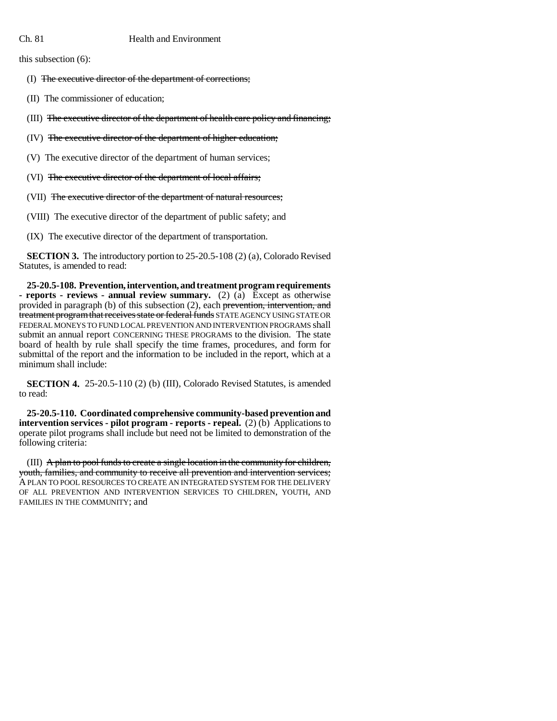this subsection (6):

(I) The executive director of the department of corrections;

(II) The commissioner of education;

(III) The executive director of the department of health care policy and financing;

(IV) The executive director of the department of higher education;

(V) The executive director of the department of human services;

(VI) The executive director of the department of local affairs;

(VII) The executive director of the department of natural resources;

(VIII) The executive director of the department of public safety; and

(IX) The executive director of the department of transportation.

**SECTION 3.** The introductory portion to 25-20.5-108 (2) (a), Colorado Revised Statutes, is amended to read:

**25-20.5-108. Prevention, intervention, and treatment program requirements - reports - reviews - annual review summary.** (2) (a) Except as otherwise provided in paragraph (b) of this subsection (2), each prevention, intervention, and treatment program that receives state or federal funds STATE AGENCY USING STATE OR FEDERAL MONEYS TO FUND LOCAL PREVENTION AND INTERVENTION PROGRAMS shall submit an annual report CONCERNING THESE PROGRAMS to the division. The state board of health by rule shall specify the time frames, procedures, and form for submittal of the report and the information to be included in the report, which at a minimum shall include:

**SECTION 4.** 25-20.5-110 (2) (b) (III), Colorado Revised Statutes, is amended to read:

**25-20.5-110. Coordinated comprehensive community-based prevention and intervention services - pilot program - reports - repeal.** (2) (b) Applications to operate pilot programs shall include but need not be limited to demonstration of the following criteria:

(III) A plan to pool funds to create a single location in the community for children, youth, families, and community to receive all prevention and intervention services; A PLAN TO POOL RESOURCES TO CREATE AN INTEGRATED SYSTEM FOR THE DELIVERY OF ALL PREVENTION AND INTERVENTION SERVICES TO CHILDREN, YOUTH, AND FAMILIES IN THE COMMUNITY; and